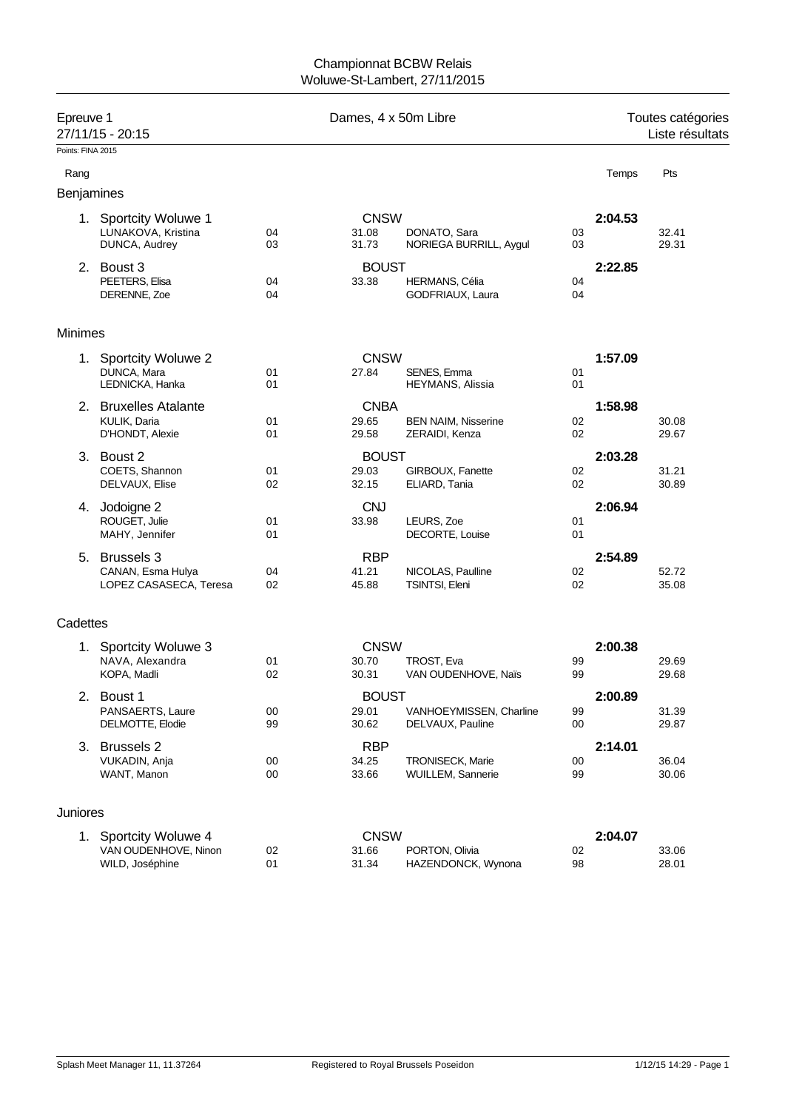## Championnat BCBW Relais Woluwe-St-Lambert, 27/11/2015

| Epreuve 1         | 27/11/15 - 20:15                                              | Dames, 4 x 50m Libre |                                |                                              |          | Toutes catégories<br>Liste résultats |                |
|-------------------|---------------------------------------------------------------|----------------------|--------------------------------|----------------------------------------------|----------|--------------------------------------|----------------|
| Points: FINA 2015 |                                                               |                      |                                |                                              |          |                                      |                |
| Rang              |                                                               |                      |                                |                                              |          | Temps                                | Pts            |
| Benjamines        |                                                               |                      |                                |                                              |          |                                      |                |
|                   | 1. Sportcity Woluwe 1<br>LUNAKOVA, Kristina                   | 04                   | <b>CNSW</b><br>31.08           | DONATO, Sara                                 | 03       | 2:04.53                              | 32.41          |
|                   | DUNCA, Audrey                                                 | 03                   | 31.73                          | NORIEGA BURRILL, Aygul                       | 03       |                                      | 29.31          |
|                   | 2. Boust 3<br>PEETERS, Elisa<br>DERENNE, Zoe                  | 04<br>04             | <b>BOUST</b><br>33.38          | HERMANS, Célia<br>GODFRIAUX, Laura           | 04<br>04 | 2:22.85                              |                |
| <b>Minimes</b>    |                                                               |                      |                                |                                              |          |                                      |                |
|                   | 1. Sportcity Woluwe 2<br>DUNCA, Mara<br>LEDNICKA, Hanka       | 01<br>01             | <b>CNSW</b><br>27.84           | SENES, Emma<br><b>HEYMANS, Alissia</b>       | 01<br>01 | 1:57.09                              |                |
|                   | 2. Bruxelles Atalante<br>KULIK, Daria<br>D'HONDT, Alexie      | 01<br>01             | <b>CNBA</b><br>29.65<br>29.58  | <b>BEN NAIM, Nisserine</b><br>ZERAIDI, Kenza | 02<br>02 | 1:58.98                              | 30.08<br>29.67 |
|                   | 3. Boust 2<br>COETS, Shannon<br>DELVAUX, Elise                | 01<br>02             | <b>BOUST</b><br>29.03<br>32.15 | GIRBOUX, Fanette<br>ELIARD, Tania            | 02<br>02 | 2:03.28                              | 31.21<br>30.89 |
|                   | 4. Jodoigne 2<br>ROUGET, Julie<br>MAHY, Jennifer              | 01<br>01             | <b>CNJ</b><br>33.98            | LEURS, Zoe<br>DECORTE, Louise                | 01<br>01 | 2:06.94                              |                |
|                   | 5. Brussels 3<br>CANAN, Esma Hulya<br>LOPEZ CASASECA, Teresa  | 04<br>02             | <b>RBP</b><br>41.21<br>45.88   | NICOLAS, Paulline<br>TSINTSI, Eleni          | 02<br>02 | 2:54.89                              | 52.72<br>35.08 |
| Cadettes          |                                                               |                      |                                |                                              |          |                                      |                |
|                   | 1. Sportcity Woluwe 3<br>NAVA, Alexandra<br>KOPA, Madli       | 01<br>02             | <b>CNSW</b><br>30.70<br>30.31  | TROST, Eva<br>VAN OUDENHOVE, Naïs            | 99<br>99 | 2:00.38                              | 29.69<br>29.68 |
| 2.                | Boust 1<br>PANSAERTS, Laure<br>DELMOTTE, Elodie               | $00\,$<br>99         | <b>BOUST</b><br>29.01<br>30.62 | VANHOEYMISSEN, Charline<br>DELVAUX, Pauline  | 99<br>00 | 2:00.89                              | 31.39<br>29.87 |
|                   | 3. Brussels 2<br>VUKADIN, Anja<br>WANT, Manon                 | 00<br>00             | <b>RBP</b><br>34.25<br>33.66   | TRONISECK, Marie<br>WUILLEM, Sannerie        | 00<br>99 | 2:14.01                              | 36.04<br>30.06 |
| Juniores          |                                                               |                      |                                |                                              |          |                                      |                |
| 1.                | Sportcity Woluwe 4<br>VAN OUDENHOVE, Ninon<br>WILD, Joséphine | 02<br>01             | <b>CNSW</b><br>31.66<br>31.34  | PORTON, Olivia<br>HAZENDONCK, Wynona         | 02<br>98 | 2:04.07                              | 33.06<br>28.01 |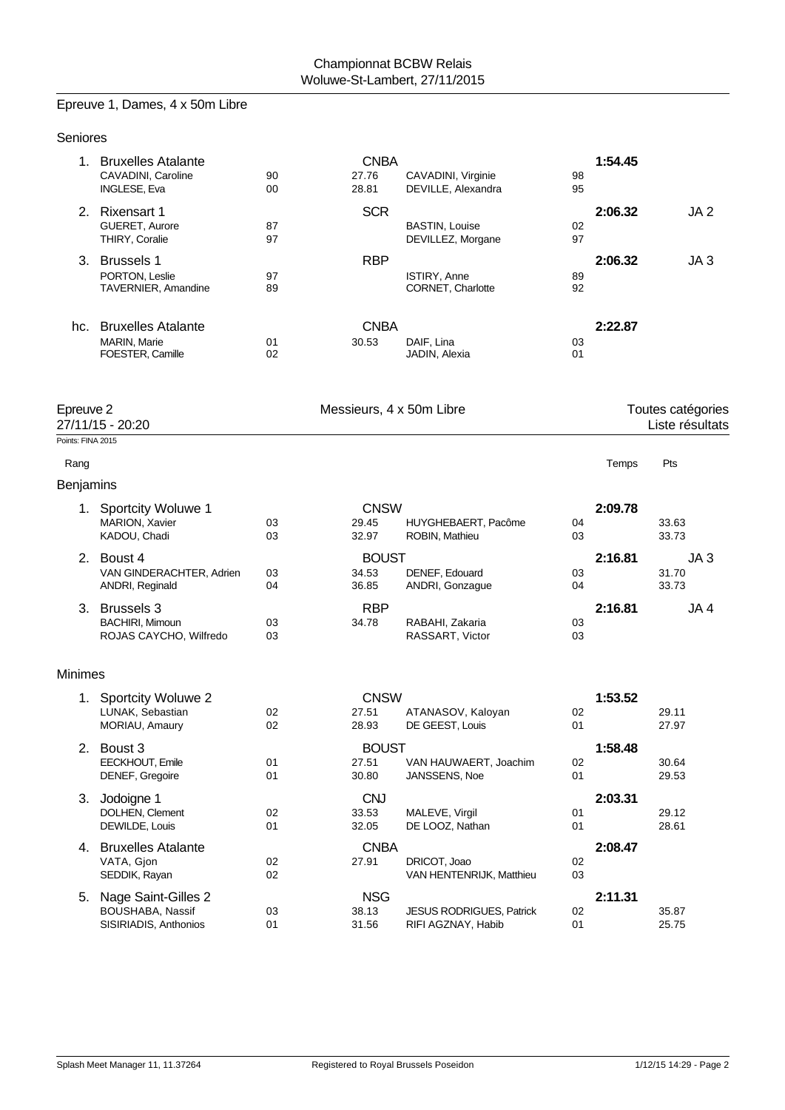# Epreuve 1, Dames, 4 x 50m Libre

| Seniores                  |                                                                     |          |                                |                                                |          |         |                                      |
|---------------------------|---------------------------------------------------------------------|----------|--------------------------------|------------------------------------------------|----------|---------|--------------------------------------|
|                           | 1. Bruxelles Atalante<br>CAVADINI, Caroline<br><b>INGLESE, Eva</b>  | 90<br>00 | <b>CNBA</b><br>27.76<br>28.81  | CAVADINI, Virginie<br>DEVILLE, Alexandra       | 98<br>95 | 1:54.45 |                                      |
|                           | 2. Rixensart 1<br>GUERET, Aurore<br>THIRY, Coralie                  | 87<br>97 | <b>SCR</b>                     | <b>BASTIN, Louise</b><br>DEVILLEZ, Morgane     | 02<br>97 | 2:06.32 | JA <sub>2</sub>                      |
|                           | 3. Brussels 1<br>PORTON, Leslie<br><b>TAVERNIER, Amandine</b>       | 97<br>89 | <b>RBP</b>                     | ISTIRY, Anne<br>CORNET, Charlotte              | 89<br>92 | 2:06.32 | JA <sub>3</sub>                      |
|                           | hc. Bruxelles Atalante<br><b>MARIN, Marie</b><br>FOESTER, Camille   | 01<br>02 | <b>CNBA</b><br>30.53           | DAIF, Lina<br>JADIN, Alexia                    | 03<br>01 | 2:22.87 |                                      |
| Epreuve 2                 | 27/11/15 - 20:20                                                    |          | Messieurs, 4 x 50m Libre       |                                                |          |         | Toutes catégories<br>Liste résultats |
| Points: FINA 2015<br>Rang |                                                                     |          |                                |                                                |          | Temps   | Pts                                  |
| Benjamins                 |                                                                     |          |                                |                                                |          |         |                                      |
|                           | 1. Sportcity Woluwe 1<br>MARION, Xavier<br>KADOU, Chadi             | 03<br>03 | <b>CNSW</b><br>29.45<br>32.97  | HUYGHEBAERT, Pacôme<br>ROBIN, Mathieu          | 04<br>03 | 2:09.78 | 33.63<br>33.73                       |
|                           | 2. Boust 4<br>VAN GINDERACHTER, Adrien<br>ANDRI, Reginald           | 03<br>04 | <b>BOUST</b><br>34.53<br>36.85 | DENEF, Edouard<br>ANDRI, Gonzague              | 03<br>04 | 2:16.81 | JA <sub>3</sub><br>31.70<br>33.73    |
|                           | 3. Brussels 3<br><b>BACHIRI, Mimoun</b><br>ROJAS CAYCHO, Wilfredo   | 03<br>03 | <b>RBP</b><br>34.78            | RABAHI, Zakaria<br>RASSART, Victor             | 03<br>03 | 2:16.81 | JA 4                                 |
| <b>Minimes</b>            |                                                                     |          |                                |                                                |          |         |                                      |
| 1.                        | Sportcity Woluwe 2<br>LUNAK, Sebastian<br>MORIAU, Amaury            | 02<br>02 | <b>CNSW</b><br>27.51<br>28.93  | ATANASOV, Kaloyan<br>DE GEEST, Louis           | 02<br>01 | 1:53.52 | 29.11<br>27.97                       |
|                           | 2. Boust 3<br>EECKHOUT, Emile<br>DENEF, Gregoire                    | 01<br>01 | <b>BOUST</b><br>27.51<br>30.80 | VAN HAUWAERT, Joachim<br>JANSSENS, Noe         | 02<br>01 | 1:58.48 | 30.64<br>29.53                       |
|                           | 3. Jodoigne 1<br>DOLHEN, Clement<br>DEWILDE, Louis                  | 02<br>01 | <b>CNJ</b><br>33.53<br>32.05   | MALEVE, Virgil<br>DE LOOZ, Nathan              | 01<br>01 | 2:03.31 | 29.12<br>28.61                       |
|                           | 4. Bruxelles Atalante<br>VATA, Gjon<br>SEDDIK, Rayan                | 02<br>02 | <b>CNBA</b><br>27.91           | DRICOT, Joao<br>VAN HENTENRIJK, Matthieu       | 02<br>03 | 2:08.47 |                                      |
|                           | 5. Nage Saint-Gilles 2<br>BOUSHABA, Nassif<br>SISIRIADIS, Anthonios | 03<br>01 | <b>NSG</b><br>38.13<br>31.56   | JESUS RODRIGUES, Patrick<br>RIFI AGZNAY, Habib | 02<br>01 | 2:11.31 | 35.87<br>25.75                       |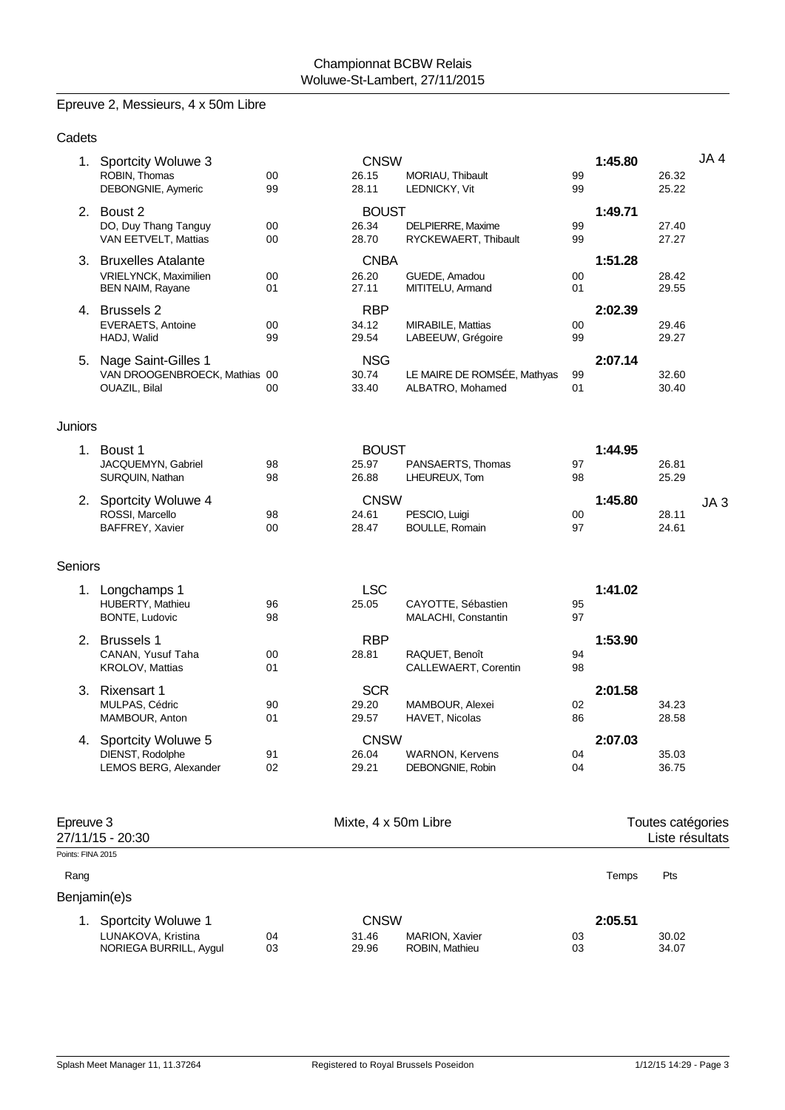# Epreuve 2, Messieurs, 4 x 50m Libre

| Cadets               |                                                                       |          |                                |                                                 |          |         |                                      |                 |
|----------------------|-----------------------------------------------------------------------|----------|--------------------------------|-------------------------------------------------|----------|---------|--------------------------------------|-----------------|
|                      | 1. Sportcity Woluwe 3<br>ROBIN, Thomas<br>DEBONGNIE, Aymeric          | 00<br>99 | <b>CNSW</b><br>26.15<br>28.11  | MORIAU, Thibault<br>LEDNICKY, Vit               | 99<br>99 | 1:45.80 | 26.32<br>25.22                       | JA4             |
|                      | 2. Boust 2<br>DO, Duy Thang Tanguy<br>VAN EETVELT, Mattias            | 00<br>00 | <b>BOUST</b><br>26.34<br>28.70 | DELPIERRE, Maxime<br>RYCKEWAERT, Thibault       | 99<br>99 | 1:49.71 | 27.40<br>27.27                       |                 |
|                      | 3. Bruxelles Atalante<br>VRIELYNCK, Maximilien<br>BEN NAIM, Rayane    | 00<br>01 | <b>CNBA</b><br>26.20<br>27.11  | GUEDE, Amadou<br>MITITELU, Armand               | 00<br>01 | 1:51.28 | 28.42<br>29.55                       |                 |
|                      | 4. Brussels 2<br><b>EVERAETS, Antoine</b><br>HADJ, Walid              | 00<br>99 | <b>RBP</b><br>34.12<br>29.54   | MIRABILE, Mattias<br>LABEEUW, Grégoire          | 00<br>99 | 2:02.39 | 29.46<br>29.27                       |                 |
| 5.                   | Nage Saint-Gilles 1<br>VAN DROOGENBROECK, Mathias 00<br>OUAZIL, Bilal | 00       | <b>NSG</b><br>30.74<br>33.40   | LE MAIRE DE ROMSÉE, Mathyas<br>ALBATRO, Mohamed | 99<br>01 | 2:07.14 | 32.60<br>30.40                       |                 |
| Juniors              |                                                                       |          |                                |                                                 |          |         |                                      |                 |
|                      | 1. Boust 1<br>JACQUEMYN, Gabriel<br>SURQUIN, Nathan                   | 98<br>98 | <b>BOUST</b><br>25.97<br>26.88 | PANSAERTS, Thomas<br>LHEUREUX, Tom              | 97<br>98 | 1:44.95 | 26.81<br>25.29                       |                 |
|                      | 2. Sportcity Woluwe 4<br>ROSSI, Marcello<br>BAFFREY, Xavier           | 98<br>00 | <b>CNSW</b><br>24.61<br>28.47  | PESCIO, Luigi<br><b>BOULLE, Romain</b>          | 00<br>97 | 1:45.80 | 28.11<br>24.61                       | JA <sub>3</sub> |
| Seniors              |                                                                       |          |                                |                                                 |          |         |                                      |                 |
|                      | 1. Longchamps 1<br>HUBERTY, Mathieu<br>BONTE, Ludovic                 | 96<br>98 | <b>LSC</b><br>25.05            | CAYOTTE, Sébastien<br>MALACHI, Constantin       | 95<br>97 | 1:41.02 |                                      |                 |
|                      | 2. Brussels 1<br>CANAN, Yusuf Taha<br>KROLOV, Mattias                 | 00<br>01 | <b>RBP</b><br>28.81            | RAQUET, Benoît<br>CALLEWAERT, Corentin          | 94<br>98 | 1:53.90 |                                      |                 |
|                      | 3. Rixensart 1<br>MULPAS, Cédric<br>MAMBOUR, Anton                    | 90<br>01 | <b>SCR</b><br>29.20<br>29.57   | MAMBOUR, Alexei<br>HAVET, Nicolas               | 02<br>86 | 2:01.58 | 34.23<br>28.58                       |                 |
|                      | 4. Sportcity Woluwe 5<br>DIENST, Rodolphe<br>LEMOS BERG, Alexander    | 91<br>02 | <b>CNSW</b><br>26.04<br>29.21  | <b>WARNON, Kervens</b><br>DEBONGNIE, Robin      | 04<br>04 | 2:07.03 | 35.03<br>36.75                       |                 |
| Epreuve 3            | 27/11/15 - 20:30                                                      |          | Mixte, 4 x 50m Libre           |                                                 |          |         | Toutes catégories<br>Liste résultats |                 |
| Points: FINA 2015    |                                                                       |          |                                |                                                 |          |         |                                      |                 |
| Rang<br>Benjamin(e)s |                                                                       |          |                                |                                                 |          | Temps   | Pts                                  |                 |
|                      | 1. Sportcity Woluwe 1<br>LUNAKOVA, Kristina<br>NORIEGA BURRILL, Aygul | 04<br>03 | <b>CNSW</b><br>31.46<br>29.96  | MARION, Xavier<br>ROBIN, Mathieu                | 03<br>03 | 2:05.51 | 30.02<br>34.07                       |                 |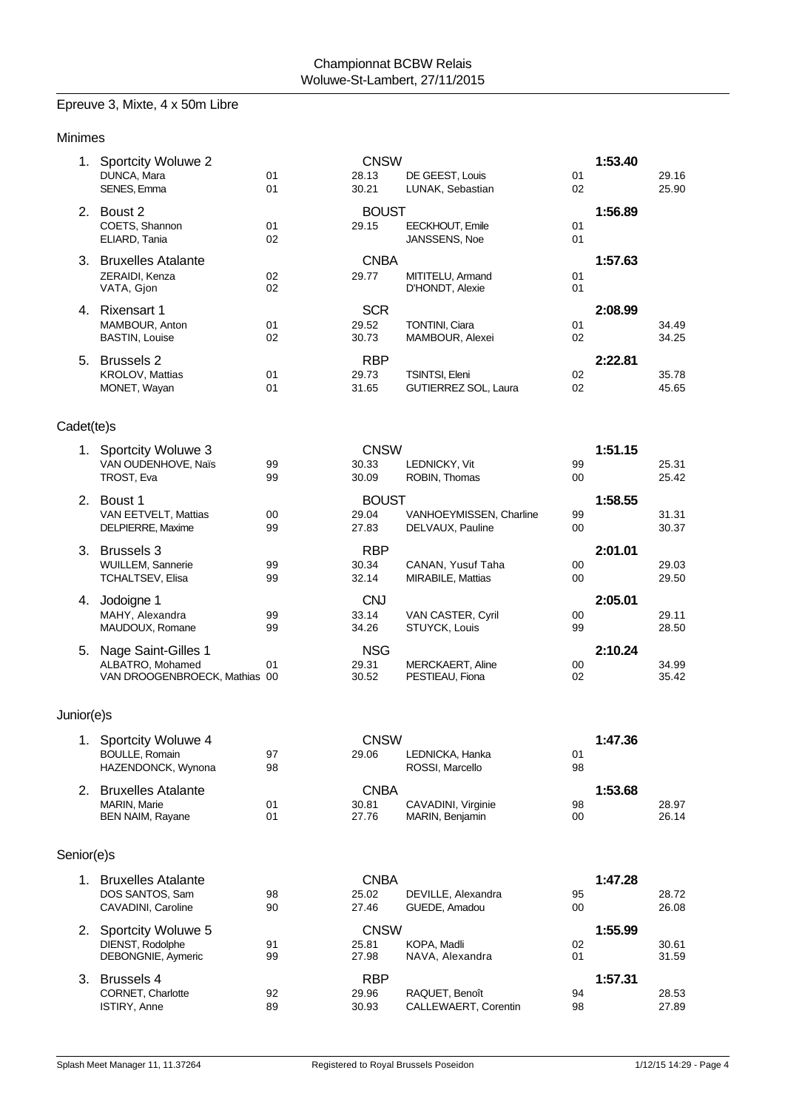## Epreuve 3, Mixte, 4 x 50m Libre

| <b>Minimes</b> |                                                                             |          |                                |                                             |          |         |                |
|----------------|-----------------------------------------------------------------------------|----------|--------------------------------|---------------------------------------------|----------|---------|----------------|
| 1.             | <b>Sportcity Woluwe 2</b><br>DUNCA, Mara<br>SENES, Emma                     | 01<br>01 | <b>CNSW</b><br>28.13<br>30.21  | DE GEEST, Louis<br>LUNAK, Sebastian         | 01<br>02 | 1:53.40 | 29.16<br>25.90 |
|                | 2. Boust 2<br>COETS, Shannon<br>ELIARD, Tania                               | 01<br>02 | <b>BOUST</b><br>29.15          | EECKHOUT, Emile<br>JANSSENS, Noe            | 01<br>01 | 1:56.89 |                |
|                | 3. Bruxelles Atalante<br>ZERAIDI, Kenza<br>VATA, Gjon                       | 02<br>02 | <b>CNBA</b><br>29.77           | MITITELU, Armand<br>D'HONDT, Alexie         | 01<br>01 | 1:57.63 |                |
|                | 4. Rixensart 1<br>MAMBOUR, Anton<br><b>BASTIN, Louise</b>                   | 01<br>02 | <b>SCR</b><br>29.52<br>30.73   | TONTINI, Ciara<br>MAMBOUR, Alexei           | 01<br>02 | 2:08.99 | 34.49<br>34.25 |
|                | 5. Brussels 2<br>KROLOV, Mattias<br>MONET, Wayan                            | 01<br>01 | <b>RBP</b><br>29.73<br>31.65   | TSINTSI, Eleni<br>GUTIERREZ SOL, Laura      | 02<br>02 | 2:22.81 | 35.78<br>45.65 |
| Cadet(te)s     |                                                                             |          |                                |                                             |          |         |                |
|                | 1. Sportcity Woluwe 3<br>VAN OUDENHOVE, Naïs<br>TROST, Eva                  | 99<br>99 | <b>CNSW</b><br>30.33<br>30.09  | LEDNICKY, Vit<br>ROBIN, Thomas              | 99<br>00 | 1:51.15 | 25.31<br>25.42 |
|                | 2. Boust 1<br>VAN EETVELT, Mattias<br>DELPIERRE, Maxime                     | 00<br>99 | <b>BOUST</b><br>29.04<br>27.83 | VANHOEYMISSEN, Charline<br>DELVAUX, Pauline | 99<br>00 | 1:58.55 | 31.31<br>30.37 |
|                | 3. Brussels 3<br>WUILLEM, Sannerie<br>TCHALTSEV, Elisa                      | 99<br>99 | <b>RBP</b><br>30.34<br>32.14   | CANAN, Yusuf Taha<br>MIRABILE, Mattias      | 00<br>00 | 2:01.01 | 29.03<br>29.50 |
|                | 4. Jodoigne 1<br>MAHY, Alexandra<br>MAUDOUX, Romane                         | 99<br>99 | <b>CNJ</b><br>33.14<br>34.26   | VAN CASTER, Cyril<br>STUYCK, Louis          | 00<br>99 | 2:05.01 | 29.11<br>28.50 |
|                | 5. Nage Saint-Gilles 1<br>ALBATRO, Mohamed<br>VAN DROOGENBROECK, Mathias 00 | 01       | <b>NSG</b><br>29.31<br>30.52   | <b>MERCKAERT, Aline</b><br>PESTIEAU, Fiona  | 00<br>02 | 2:10.24 | 34.99<br>35.42 |
| Junior(e)s     |                                                                             |          |                                |                                             |          |         |                |
|                | 1. Sportcity Woluwe 4<br><b>BOULLE, Romain</b><br>HAZENDONCK, Wynona        | 97<br>98 | <b>CNSW</b><br>29.06           | LEDNICKA, Hanka<br>ROSSI, Marcello          | 01<br>98 | 1:47.36 |                |
|                | 2. Bruxelles Atalante<br><b>MARIN, Marie</b><br><b>BEN NAIM, Rayane</b>     | 01<br>01 | <b>CNBA</b><br>30.81<br>27.76  | CAVADINI, Virginie<br>MARIN, Benjamin       | 98<br>00 | 1:53.68 | 28.97<br>26.14 |
| Senior(e)s     |                                                                             |          |                                |                                             |          |         |                |
|                | 1. Bruxelles Atalante<br>DOS SANTOS, Sam<br>CAVADINI, Caroline              | 98<br>90 | <b>CNBA</b><br>25.02<br>27.46  | DEVILLE, Alexandra<br>GUEDE, Amadou         | 95<br>00 | 1:47.28 | 28.72<br>26.08 |
| 2.             | Sportcity Woluwe 5<br>DIENST, Rodolphe<br>DEBONGNIE, Aymeric                | 91<br>99 | <b>CNSW</b><br>25.81<br>27.98  | KOPA, Madli<br>NAVA, Alexandra              | 02<br>01 | 1:55.99 | 30.61<br>31.59 |
| 3.             | <b>Brussels 4</b><br>CORNET, Charlotte<br><b>ISTIRY, Anne</b>               | 92<br>89 | <b>RBP</b><br>29.96<br>30.93   | RAQUET, Benoît<br>CALLEWAERT, Corentin      | 94<br>98 | 1:57.31 | 28.53<br>27.89 |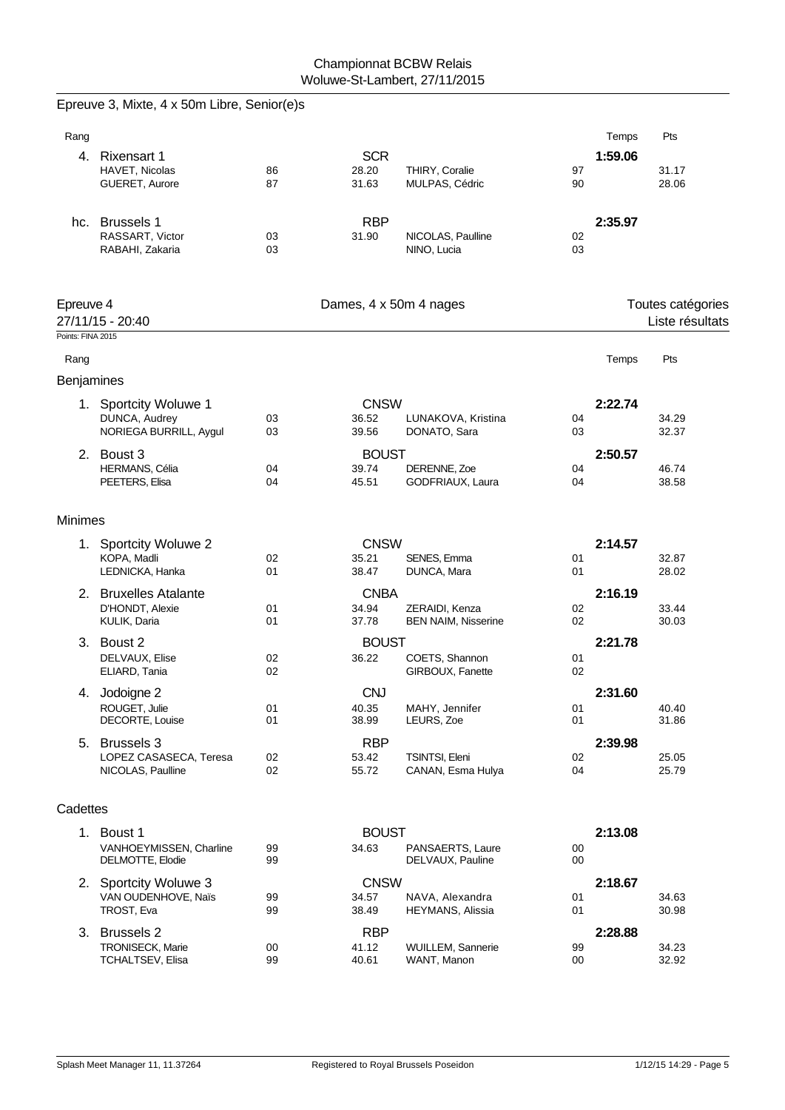|                   | Epreuve 3, Mixte, 4 x 50m Libre, Senior(e)s  |          |                        |                                              |          |         |                   |
|-------------------|----------------------------------------------|----------|------------------------|----------------------------------------------|----------|---------|-------------------|
| Rang              |                                              |          |                        |                                              |          | Temps   | Pts               |
|                   | 4. Rixensart 1                               |          | <b>SCR</b>             |                                              |          | 1:59.06 |                   |
|                   | HAVET, Nicolas<br>GUERET, Aurore             | 86<br>87 | 28.20<br>31.63         | THIRY, Coralie<br>MULPAS, Cédric             | 97<br>90 |         | 31.17<br>28.06    |
|                   |                                              |          |                        |                                              |          |         |                   |
|                   | hc. Brussels 1                               |          | <b>RBP</b>             |                                              |          | 2:35.97 |                   |
|                   | RASSART, Victor<br>RABAHI, Zakaria           | 03<br>03 | 31.90                  | NICOLAS, Paulline<br>NINO, Lucia             | 02<br>03 |         |                   |
|                   |                                              |          |                        |                                              |          |         |                   |
| Epreuve 4         |                                              |          | Dames, 4 x 50m 4 nages |                                              |          |         | Toutes catégories |
|                   | 27/11/15 - 20:40                             |          |                        |                                              |          |         | Liste résultats   |
| Points: FINA 2015 |                                              |          |                        |                                              |          |         |                   |
| Rang              |                                              |          |                        |                                              |          | Temps   | Pts               |
| Benjamines        |                                              |          |                        |                                              |          |         |                   |
|                   | 1. Sportcity Woluwe 1                        |          | <b>CNSW</b>            |                                              |          | 2:22.74 |                   |
|                   | DUNCA, Audrey                                | 03       | 36.52                  | LUNAKOVA, Kristina                           | 04       |         | 34.29             |
|                   | NORIEGA BURRILL, Aygul                       | 03       | 39.56                  | DONATO, Sara                                 | 03       |         | 32.37             |
|                   | 2. Boust 3                                   |          | <b>BOUST</b>           |                                              |          | 2:50.57 |                   |
|                   | HERMANS, Célia<br>PEETERS, Elisa             | 04<br>04 | 39.74<br>45.51         | DERENNE, Zoe<br>GODFRIAUX, Laura             | 04<br>04 |         | 46.74<br>38.58    |
|                   |                                              |          |                        |                                              |          |         |                   |
| <b>Minimes</b>    |                                              |          |                        |                                              |          |         |                   |
|                   | 1. Sportcity Woluwe 2                        |          | <b>CNSW</b>            |                                              |          | 2:14.57 |                   |
|                   | KOPA, Madli                                  | 02       | 35.21                  | SENES, Emma                                  | 01       |         | 32.87             |
|                   | LEDNICKA, Hanka                              | 01       | 38.47                  | DUNCA, Mara                                  | 01       |         | 28.02             |
|                   | 2. Bruxelles Atalante                        |          | <b>CNBA</b><br>34.94   |                                              |          | 2:16.19 |                   |
|                   | D'HONDT, Alexie<br>KULIK, Daria              | 01<br>01 | 37.78                  | ZERAIDI, Kenza<br><b>BEN NAIM, Nisserine</b> | 02<br>02 |         | 33.44<br>30.03    |
|                   | 3. Boust 2                                   |          | <b>BOUST</b>           |                                              |          | 2:21.78 |                   |
|                   | DELVAUX, Elise                               | 02       | 36.22                  | COETS, Shannon                               | 01       |         |                   |
|                   | ELIARD, Tania                                | 02       |                        | GIRBOUX, Fanette                             | 02       |         |                   |
|                   | 4. Jodoigne 2                                |          | <b>CNJ</b>             |                                              |          | 2:31.60 |                   |
|                   | ROUGET, Julie<br>DECORTE, Louise             | 01<br>01 | 40.35<br>38.99         | MAHY, Jennifer<br>LEURS, Zoe                 | 01<br>01 |         | 40.40<br>31.86    |
|                   |                                              |          |                        |                                              |          |         |                   |
|                   | 5. Brussels 3<br>LOPEZ CASASECA, Teresa      | 02       | <b>RBP</b><br>53.42    | TSINTSI, Eleni                               | 02       | 2:39.98 | 25.05             |
|                   | NICOLAS, Paulline                            | 02       | 55.72                  | CANAN, Esma Hulya                            | 04       |         | 25.79             |
|                   |                                              |          |                        |                                              |          |         |                   |
| Cadettes          |                                              |          |                        |                                              |          |         |                   |
|                   | 1. Boust 1                                   |          | <b>BOUST</b>           |                                              |          | 2:13.08 |                   |
|                   | VANHOEYMISSEN, Charline<br>DELMOTTE, Elodie  | 99<br>99 | 34.63                  | PANSAERTS, Laure<br>DELVAUX, Pauline         | 00<br>00 |         |                   |
|                   |                                              |          |                        |                                              |          |         |                   |
|                   | 2. Sportcity Woluwe 3<br>VAN OUDENHOVE, Naïs | 99       | <b>CNSW</b><br>34.57   | NAVA, Alexandra                              | 01       | 2:18.67 | 34.63             |
|                   | TROST, Eva                                   | 99       | 38.49                  | HEYMANS, Alissia                             | 01       |         | 30.98             |
|                   | 3. Brussels 2                                |          | <b>RBP</b>             |                                              |          | 2:28.88 |                   |
|                   | TRONISECK, Marie                             | 00       | 41.12                  | WUILLEM, Sannerie                            | 99       |         | 34.23             |
|                   | TCHALTSEV, Elisa                             | 99       | 40.61                  | WANT, Manon                                  | 00       |         | 32.92             |
|                   |                                              |          |                        |                                              |          |         |                   |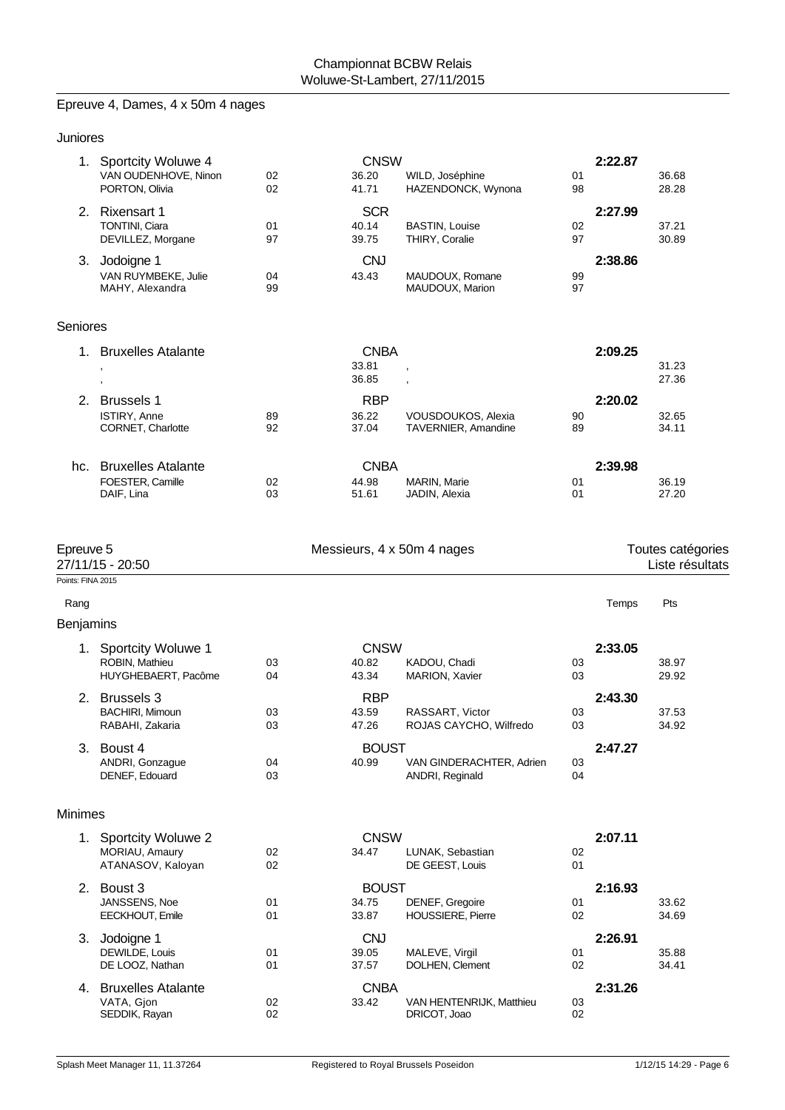# Epreuve 4, Dames, 4 x 50m 4 nages

| Juniores                       |                                                                 |          |                                |                                             |          |         |                                      |
|--------------------------------|-----------------------------------------------------------------|----------|--------------------------------|---------------------------------------------|----------|---------|--------------------------------------|
|                                | 1. Sportcity Woluwe 4<br>VAN OUDENHOVE, Ninon<br>PORTON, Olivia | 02<br>02 | <b>CNSW</b><br>36.20<br>41.71  | WILD, Joséphine<br>HAZENDONCK, Wynona       | 01<br>98 | 2:22.87 | 36.68<br>28.28                       |
|                                | 2. Rixensart 1<br><b>TONTINI, Ciara</b><br>DEVILLEZ, Morgane    | 01<br>97 | <b>SCR</b><br>40.14<br>39.75   | <b>BASTIN, Louise</b><br>THIRY, Coralie     | 02<br>97 | 2:27.99 | 37.21<br>30.89                       |
| 3.                             | Jodoigne 1<br>VAN RUYMBEKE, Julie<br>MAHY, Alexandra            | 04<br>99 | <b>CNJ</b><br>43.43            | MAUDOUX, Romane<br>MAUDOUX, Marion          | 99<br>97 | 2:38.86 |                                      |
| Seniores                       |                                                                 |          |                                |                                             |          |         |                                      |
| 1.                             | <b>Bruxelles Atalante</b>                                       |          | <b>CNBA</b><br>33.81<br>36.85  |                                             |          | 2:09.25 | 31.23<br>27.36                       |
| 2.                             | <b>Brussels 1</b><br>ISTIRY, Anne<br>CORNET, Charlotte          | 89<br>92 | <b>RBP</b><br>36.22<br>37.04   | VOUSDOUKOS, Alexia<br>TAVERNIER, Amandine   | 90<br>89 | 2:20.02 | 32.65<br>34.11                       |
| hc.                            | <b>Bruxelles Atalante</b><br>FOESTER, Camille<br>DAIF, Lina     | 02<br>03 | <b>CNBA</b><br>44.98<br>51.61  | MARIN, Marie<br>JADIN, Alexia               | 01<br>01 | 2:39.98 | 36.19<br>27.20                       |
| Epreuve 5<br>Points: FINA 2015 | 27/11/15 - 20:50                                                |          | Messieurs, 4 x 50m 4 nages     |                                             |          |         | Toutes catégories<br>Liste résultats |
| Rang                           |                                                                 |          |                                |                                             |          | Temps   | Pts                                  |
| <b>Benjamins</b>               |                                                                 |          |                                |                                             |          |         |                                      |
|                                | 1. Sportcity Woluwe 1<br>ROBIN, Mathieu<br>HUYGHEBAERT, Pacôme  | 03<br>04 | <b>CNSW</b><br>40.82<br>43.34  | KADOU, Chadi<br>MARION, Xavier              | 03<br>03 | 2:33.05 | 38.97<br>29.92                       |
| 2.                             | <b>Brussels 3</b><br><b>BACHIRI, Mimoun</b><br>RABAHI, Zakaria  | 03<br>03 | <b>RBP</b><br>43.59<br>47.26   | RASSART, Victor<br>ROJAS CAYCHO, Wilfredo   | 03<br>03 | 2:43.30 | 37.53<br>34.92                       |
|                                | 3. Boust 4<br>ANDRI, Gonzague<br>DENEF, Edouard                 | 04<br>03 | <b>BOUST</b><br>40.99          | VAN GINDERACHTER, Adrien<br>ANDRI, Reginald | 03<br>04 | 2:47.27 |                                      |
| <b>Minimes</b>                 |                                                                 |          |                                |                                             |          |         |                                      |
|                                | 1. Sportcity Woluwe 2<br>MORIAU, Amaury<br>ATANASOV, Kaloyan    | 02<br>02 | <b>CNSW</b><br>34.47           | LUNAK, Sebastian<br>DE GEEST, Louis         | 02<br>01 | 2:07.11 |                                      |
|                                | 2. Boust 3<br>JANSSENS, Noe<br>EECKHOUT, Emile                  | 01<br>01 | <b>BOUST</b><br>34.75<br>33.87 | DENEF, Gregoire<br><b>HOUSSIERE, Pierre</b> | 01<br>02 | 2:16.93 | 33.62<br>34.69                       |
|                                | 3. Jodoigne 1<br>DEWILDE, Louis<br>DE LOOZ, Nathan              | 01<br>01 | <b>CNJ</b><br>39.05<br>37.57   | MALEVE, Virgil<br>DOLHEN, Clement           | 01<br>02 | 2:26.91 | 35.88<br>34.41                       |
| 4.                             | <b>Bruxelles Atalante</b>                                       |          | <b>CNBA</b>                    |                                             |          | 2:31.26 |                                      |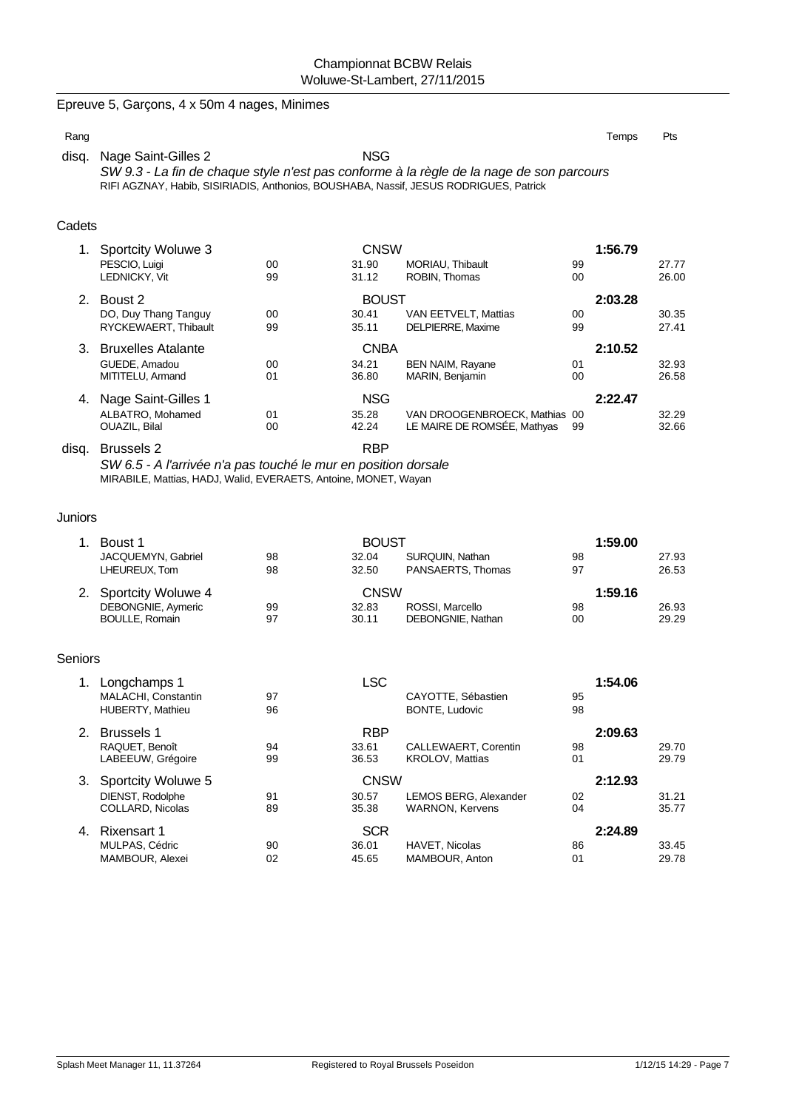## Epreuve 5, Garçons, 4 x 50m 4 nages, Minimes

| Rang |                                                                                          | Temps | Pts |  |  |  |
|------|------------------------------------------------------------------------------------------|-------|-----|--|--|--|
|      | <b>NSG</b><br>disg. Nage Saint-Gilles 2                                                  |       |     |  |  |  |
|      | SW 9.3 - La fin de chaque style n'est pas conforme à la règle de la nage de son parcours |       |     |  |  |  |
|      | RIFI AGZNAY, Habib, SISIRIADIS, Anthonios, BOUSHABA, Nassif, JESUS RODRIGUES, Patrick    |       |     |  |  |  |

## **Cadets**

|    | Sportcity Woluwe 3        |    | <b>CNSW</b>  |                               |         | 1:56.79 |  |  |
|----|---------------------------|----|--------------|-------------------------------|---------|---------|--|--|
|    | PESCIO, Luigi             | 00 | 31.90        | MORIAU, Thibault              | 99      | 27.77   |  |  |
|    | <b>LEDNICKY, Vit</b>      | 99 | 31.12        | ROBIN. Thomas                 | 00      | 26.00   |  |  |
|    | Boust 2<br>$2^{\circ}$    |    | <b>BOUST</b> |                               | 2:03.28 |         |  |  |
|    | DO, Duy Thang Tanguy      | 00 | 30.41        | VAN EETVELT, Mattias          | 00      | 30.35   |  |  |
|    | RYCKEWAERT, Thibault      | 99 | 35.11        | DELPIERRE, Maxime             | 99      | 27.41   |  |  |
| 3. | <b>Bruxelles Atalante</b> |    | <b>CNBA</b>  |                               | 2:10.52 |         |  |  |
|    | GUEDE, Amadou             | 00 | 34.21        | <b>BEN NAIM, Ravane</b>       | 01      | 32.93   |  |  |
|    | MITITELU, Armand          | 01 | 36.80        | MARIN, Benjamin               | 00      | 26.58   |  |  |
|    | Nage Saint-Gilles 1       |    | <b>NSG</b>   |                               | 2:22.47 |         |  |  |
|    | ALBATRO, Mohamed          | 01 | 35.28        | VAN DROOGENBROECK, Mathias 00 |         | 32.29   |  |  |
|    | OUAZIL, Bilal             | 00 | 42.24        | LE MAIRE DE ROMSÉE, Mathyas   | 99      | 32.66   |  |  |
|    |                           |    |              |                               |         |         |  |  |

disq. Brussels 2 RBP *SW 6.5 - A l'arrivée n'a pas touché le mur en position dorsale* MIRABILE, Mattias, HADJ, Walid, EVERAETS, Antoine, MONET, Wayan

#### Juniors

| Boust 1               |    | <b>BOUST</b> | 1:59.00           |         |       |
|-----------------------|----|--------------|-------------------|---------|-------|
| JACQUEMYN, Gabriel    | 98 | 32.04        | SURQUIN, Nathan   | 98      | 27.93 |
| LHEUREUX. Tom         | 98 | 32.50        | PANSAERTS, Thomas | 97      | 26.53 |
| 2. Sportcity Woluwe 4 |    | CNSW         |                   | 1:59.16 |       |
| DEBONGNIE, Aymeric    | 99 | 32.83        | ROSSI, Marcello   | 98      | 26.93 |
| <b>BOULLE, Romain</b> | 97 | 30.11        | DEBONGNIE, Nathan | 00      | 29.29 |

### Seniors

|    | Longchamps 1<br>MALACHI, Constantin<br><b>HUBERTY, Mathieu</b> | 97<br>96 | LSC                          | CAYOTTE, Sébastien<br>BONTE, Ludovic            | 95<br>98 | 1:54.06 |                |
|----|----------------------------------------------------------------|----------|------------------------------|-------------------------------------------------|----------|---------|----------------|
|    | <b>Brussels 1</b><br>RAQUET, Benoît<br>LABEEUW, Grégoire       | 94<br>99 | <b>RBP</b><br>33.61<br>36.53 | CALLEWAERT, Corentin<br><b>KROLOV, Mattias</b>  | 98<br>01 | 2:09.63 | 29.70<br>29.79 |
| З. | Sportcity Woluwe 5                                             |          | <b>CNSW</b>                  |                                                 |          | 2:12.93 |                |
|    | DIENST, Rodolphe<br>COLLARD. Nicolas                           | 91<br>89 | 30.57<br>35.38               | LEMOS BERG, Alexander<br><b>WARNON, Kervens</b> | 02<br>04 |         | 31.21<br>35.77 |
| 4. | Rixensart 1                                                    |          | <b>SCR</b>                   |                                                 |          | 2:24.89 |                |
|    | MULPAS, Cédric<br>MAMBOUR, Alexei                              | 90<br>02 | 36.01<br>45.65               | HAVET, Nicolas<br>MAMBOUR, Anton                | 86<br>01 |         | 33.45<br>29.78 |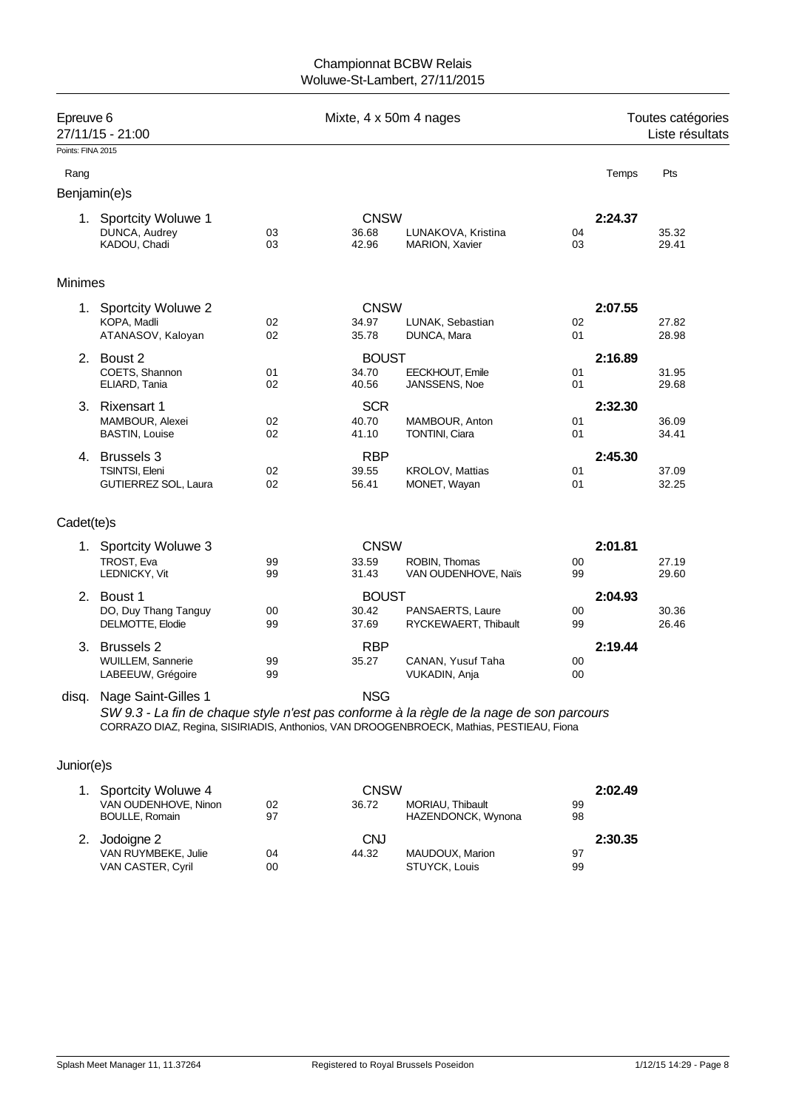### Championnat BCBW Relais Woluwe-St-Lambert, 27/11/2015

| Epreuve 6<br>27/11/15 - 21:00 |                                               | Mixte, 4 x 50m 4 nages |                      |                                                                                                                                                                                      |          | Toutes catégories<br>Liste résultats |                |  |
|-------------------------------|-----------------------------------------------|------------------------|----------------------|--------------------------------------------------------------------------------------------------------------------------------------------------------------------------------------|----------|--------------------------------------|----------------|--|
| Points: FINA 2015             |                                               |                        |                      |                                                                                                                                                                                      |          |                                      |                |  |
| Rang                          |                                               |                        |                      |                                                                                                                                                                                      |          | Temps                                | Pts            |  |
|                               | Benjamin(e)s                                  |                        |                      |                                                                                                                                                                                      |          |                                      |                |  |
|                               | 1. Sportcity Woluwe 1<br>DUNCA, Audrey        | 03                     | <b>CNSW</b><br>36.68 | LUNAKOVA, Kristina                                                                                                                                                                   | 04       | 2:24.37                              | 35.32          |  |
|                               | KADOU, Chadi                                  | 03                     | 42.96                | MARION, Xavier                                                                                                                                                                       | 03       |                                      | 29.41          |  |
| <b>Minimes</b>                |                                               |                        |                      |                                                                                                                                                                                      |          |                                      |                |  |
|                               | 1. Sportcity Woluwe 2                         |                        | <b>CNSW</b>          |                                                                                                                                                                                      |          | 2:07.55                              |                |  |
|                               | KOPA, Madli                                   | 02                     | 34.97                | LUNAK, Sebastian                                                                                                                                                                     | 02       |                                      | 27.82          |  |
|                               | ATANASOV, Kaloyan                             | 02                     | 35.78                | DUNCA, Mara                                                                                                                                                                          | 01       |                                      | 28.98          |  |
|                               | 2. Boust 2                                    |                        | <b>BOUST</b>         |                                                                                                                                                                                      |          | 2:16.89                              |                |  |
|                               | COETS, Shannon                                | 01<br>02               | 34.70<br>40.56       | EECKHOUT, Emile                                                                                                                                                                      | 01<br>01 |                                      | 31.95          |  |
|                               | ELIARD, Tania                                 |                        |                      | JANSSENS, Noe                                                                                                                                                                        |          |                                      | 29.68          |  |
|                               | 3. Rixensart 1                                |                        | <b>SCR</b><br>40.70  | MAMBOUR, Anton                                                                                                                                                                       |          | 2:32.30                              |                |  |
|                               | MAMBOUR, Alexei<br><b>BASTIN, Louise</b>      | 02<br>02               | 41.10                | <b>TONTINI, Ciara</b>                                                                                                                                                                | 01<br>01 |                                      | 36.09<br>34.41 |  |
|                               | 4. Brussels 3                                 |                        | <b>RBP</b>           |                                                                                                                                                                                      |          | 2:45.30                              |                |  |
|                               | TSINTSI, Eleni                                | 02                     | 39.55                | <b>KROLOV, Mattias</b>                                                                                                                                                               | 01       |                                      | 37.09          |  |
|                               | GUTIERREZ SOL, Laura                          | 02                     | 56.41                | MONET, Wayan                                                                                                                                                                         | 01       |                                      | 32.25          |  |
| Cadet(te)s                    |                                               |                        |                      |                                                                                                                                                                                      |          |                                      |                |  |
|                               | 1. Sportcity Woluwe 3                         |                        | <b>CNSW</b>          |                                                                                                                                                                                      |          | 2:01.81                              |                |  |
|                               | TROST, Eva                                    | 99                     | 33.59                | ROBIN, Thomas                                                                                                                                                                        | 00       |                                      | 27.19          |  |
|                               | LEDNICKY, Vit                                 | 99                     | 31.43                | VAN OUDENHOVE, Naïs                                                                                                                                                                  | 99       |                                      | 29.60          |  |
|                               | 2. Boust 1                                    |                        | <b>BOUST</b>         |                                                                                                                                                                                      |          | 2:04.93                              |                |  |
|                               | DO, Duy Thang Tanguy                          | 00                     | 30.42                | PANSAERTS, Laure                                                                                                                                                                     | 00       |                                      | 30.36          |  |
|                               | DELMOTTE, Elodie                              | 99                     | 37.69                | RYCKEWAERT, Thibault                                                                                                                                                                 | 99       |                                      | 26.46          |  |
|                               | 3. Brussels 2                                 |                        | <b>RBP</b>           |                                                                                                                                                                                      |          | 2:19.44                              |                |  |
|                               | WUILLEM, Sannerie                             | 99                     | 35.27                | CANAN, Yusuf Taha                                                                                                                                                                    | 00       |                                      |                |  |
|                               | LABEEUW, Grégoire                             | 99                     |                      | VUKADIN, Anja                                                                                                                                                                        | 00       |                                      |                |  |
|                               | disq. Nage Saint-Gilles 1                     |                        | <b>NSG</b>           | SW 9.3 - La fin de chaque style n'est pas conforme à la règle de la nage de son parcours<br>CORRAZO DIAZ, Regina, SISIRIADIS, Anthonios, VAN DROOGENBROECK, Mathias, PESTIEAU, Fiona |          |                                      |                |  |
|                               |                                               |                        |                      |                                                                                                                                                                                      |          |                                      |                |  |
| Junior(e)s                    |                                               |                        |                      |                                                                                                                                                                                      |          |                                      |                |  |
|                               | 1. Sportcity Woluwe 4                         |                        | <b>CNSW</b>          |                                                                                                                                                                                      |          | 2:02.49                              |                |  |
|                               | VAN OUDENHOVE, Ninon<br><b>BOULLE, Romain</b> | 02<br>97               | 36.72                | MORIAU, Thibault<br>HAZENDONCK, Wynona                                                                                                                                               | 99<br>98 |                                      |                |  |
|                               | 2. Jodoigne 2                                 |                        | <b>CNJ</b>           |                                                                                                                                                                                      |          | 2:30.35                              |                |  |

VAN RUYMBEKE, Julie 04 44.32 MAUDOUX, Marion 97 VAN CASTER, Cyril 00 00 STUYCK, Louis 99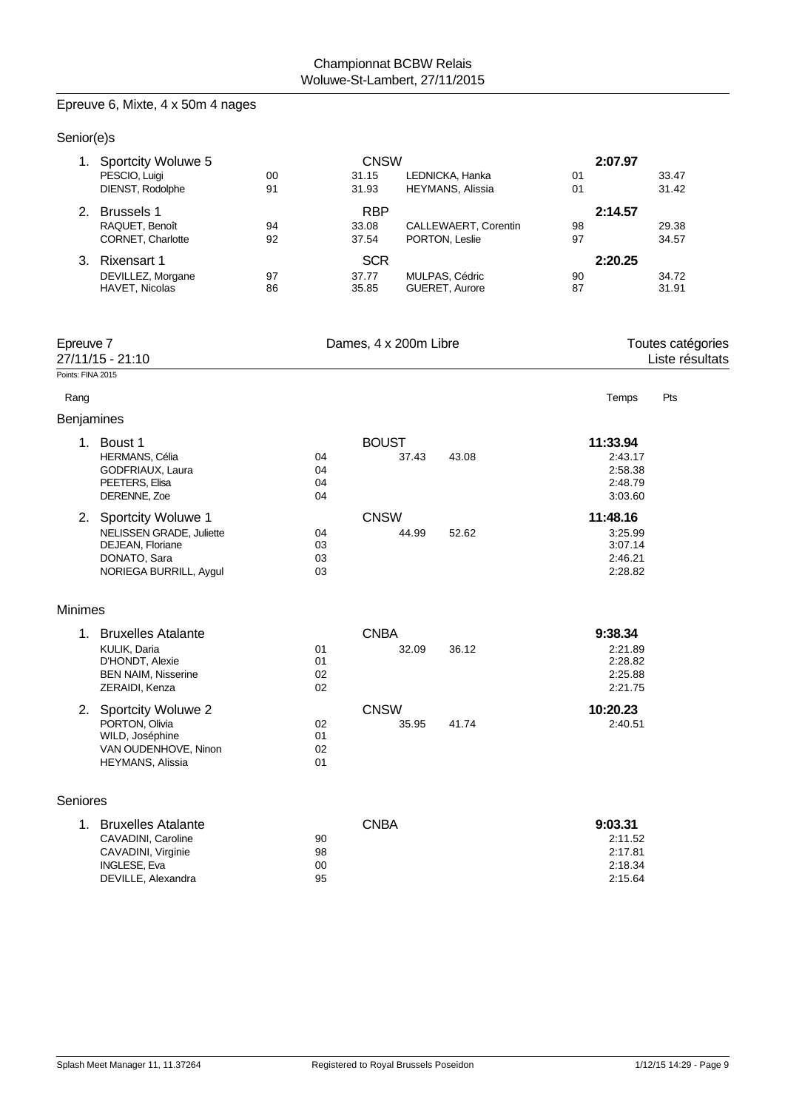# Epreuve 6, Mixte, 4 x 50m 4 nages

| Senior(e)s        |                                                                                                                        |          |                                      |                                        |                                                      |                                      |
|-------------------|------------------------------------------------------------------------------------------------------------------------|----------|--------------------------------------|----------------------------------------|------------------------------------------------------|--------------------------------------|
|                   | 1. Sportcity Woluwe 5<br>PESCIO, Luigi<br>DIENST, Rodolphe                                                             | 00<br>91 | <b>CNSW</b><br>31.15<br>31.93        | LEDNICKA, Hanka<br>HEYMANS, Alissia    | 2:07.97<br>01<br>01                                  | 33.47<br>31.42                       |
|                   | 2. Brussels 1<br>RAQUET, Benoît<br>CORNET, Charlotte                                                                   | 94<br>92 | <b>RBP</b><br>33.08<br>37.54         | CALLEWAERT, Corentin<br>PORTON, Leslie | 2:14.57<br>98<br>97                                  | 29.38<br>34.57                       |
|                   | 3. Rixensart 1<br>DEVILLEZ, Morgane<br>HAVET, Nicolas                                                                  | 97<br>86 | <b>SCR</b><br>37.77<br>35.85         | MULPAS, Cédric<br>GUERET, Aurore       | 2:20.25<br>90<br>87                                  | 34.72<br>31.91                       |
| Epreuve 7         | 27/11/15 - 21:10                                                                                                       |          | Dames, 4 x 200m Libre                |                                        |                                                      | Toutes catégories<br>Liste résultats |
| Points: FINA 2015 |                                                                                                                        |          |                                      |                                        |                                                      |                                      |
| Rang              |                                                                                                                        |          |                                      |                                        | Temps                                                | Pts                                  |
| Benjamines        | 1. Boust 1<br><b>HERMANS, Célia</b><br>GODFRIAUX, Laura<br>PEETERS, Elisa<br>DERENNE, Zoe                              |          | <b>BOUST</b><br>04<br>04<br>04<br>04 | 37.43<br>43.08                         | 11:33.94<br>2:43.17<br>2:58.38<br>2:48.79<br>3:03.60 |                                      |
|                   | 2. Sportcity Woluwe 1<br><b>NELISSEN GRADE, Juliette</b><br>DEJEAN, Floriane<br>DONATO, Sara<br>NORIEGA BURRILL, Aygul |          | <b>CNSW</b><br>04<br>03<br>03<br>03  | 44.99<br>52.62                         | 11:48.16<br>3:25.99<br>3:07.14<br>2:46.21<br>2:28.82 |                                      |
| <b>Minimes</b>    |                                                                                                                        |          |                                      |                                        |                                                      |                                      |
|                   | 1. Bruxelles Atalante<br>KULIK, Daria<br>D'HONDT, Alexie<br><b>BEN NAIM, Nisserine</b><br>ZERAIDI, Kenza               |          | <b>CNBA</b><br>01<br>01<br>02<br>02  | 36.12<br>32.09                         | 9:38.34<br>2:21.89<br>2:28.82<br>2:25.88<br>2:21.75  |                                      |
|                   | 2. Sportcity Woluwe 2<br>PORTON, Olivia<br>WILD, Joséphine<br>VAN OUDENHOVE, Ninon<br><b>HEYMANS, Alissia</b>          |          | <b>CNSW</b><br>02<br>01<br>02<br>01  | 35.95<br>41.74                         | 10:20.23<br>2:40.51                                  |                                      |
| Seniores          |                                                                                                                        |          |                                      |                                        |                                                      |                                      |
|                   | 1. Bruxelles Atalante<br>CAVADINI, Caroline<br>CAVADINI, Virginie<br>INGLESE, Eva<br>DEVILLE, Alexandra                |          | <b>CNBA</b><br>90<br>98<br>00<br>95  |                                        | 9:03.31<br>2:11.52<br>2:17.81<br>2:18.34<br>2:15.64  |                                      |